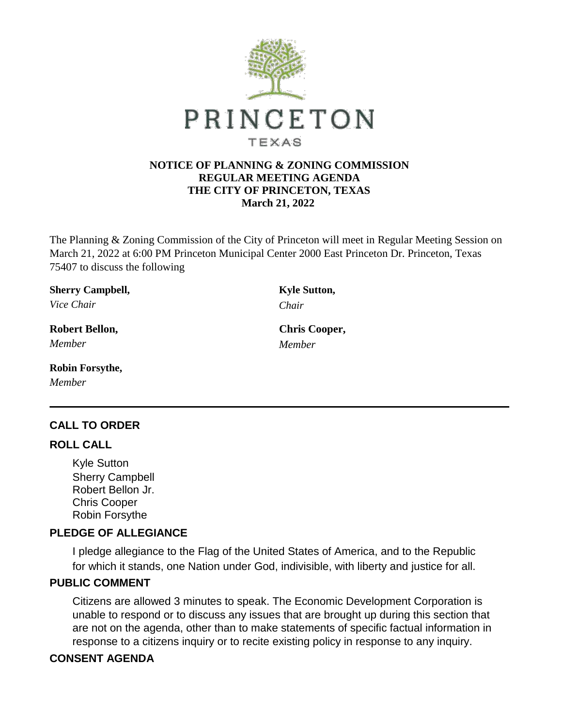

#### **NOTICE OF PLANNING & ZONING COMMISSION REGULAR MEETING AGENDA THE CITY OF PRINCETON, TEXAS March 21, 2022**

The Planning & Zoning Commission of the City of Princeton will meet in Regular Meeting Session on March 21, 2022 at 6:00 PM Princeton Municipal Center 2000 East Princeton Dr. Princeton, Texas 75407 to discuss the following

|           | <b>Sherry Campbell,</b> |
|-----------|-------------------------|
| $-1$ $-1$ |                         |

*Vice Chair Chair*

**Robert Bellon, Chris Cooper,** *Member Member*

### **Robin Forsythe,**

*Member*

## **CALL TO ORDER**

#### **ROLL CALL**

Kyle Sutton Sherry Campbell Robert Bellon Jr. Chris Cooper Robin Forsythe

## **PLEDGE OF ALLEGIANCE**

I pledge allegiance to the Flag of the United States of America, and to the Republic for which it stands, one Nation under God, indivisible, with liberty and justice for all.

## **PUBLIC COMMENT**

Citizens are allowed 3 minutes to speak. The Economic Development Corporation is unable to respond or to discuss any issues that are brought up during this section that are not on the agenda, other than to make statements of specific factual information in response to a citizens inquiry or to recite existing policy in response to any inquiry.

### **CONSENT AGENDA**

**Kyle Sutton,**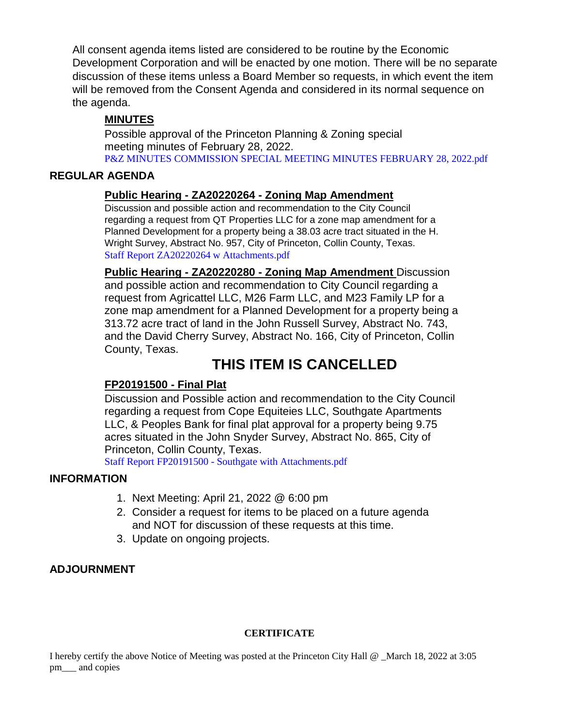All consent agenda items listed are considered to be routine by the Economic Development Corporation and will be enacted by one motion. There will be no separate discussion of these items unless a Board Member so requests, in which event the item will be removed from the Consent Agenda and considered in its normal sequence on the agenda.

## **MINUTES**

Possible approval of the Princeton Planning & Zoning special meeting minutes of February 28, 2022. [P&Z MINUTES COMMISSION SPECIAL MEETING MINUTES FEBRUARY 28, 2022.pdf](https://legistarweb-production.s3.amazonaws.com/uploads/attachment/pdf/1295529/P_Z_MINUTES_COMMISSION_SPECIAL_MEETING_MINUTES_FEBRUARY_28__2022.pdf)

## **REGULAR AGENDA**

## **Public Hearing - ZA20220264 - Zoning Map Amendment**

Discussion and possible action and recommendation to the City Council regarding a request from QT Properties LLC for a zone map amendment for a Planned Development for a property being a 38.03 acre tract situated in the H. Wright Survey, Abstract No. 957, City of Princeton, Collin County, Texas. [Staff Report ZA20220264 w Attachments.pdf](https://legistarweb-production.s3.amazonaws.com/uploads/attachment/pdf/1295541/Staff_Report_ZA20220264_w_Attachments.pdf)

**Public Hearing - ZA20220280 - Zoning Map Amendment** Discussion and possible action and recommendation to City Council regarding a request from Agricattel LLC, M26 Farm LLC, and M23 Family LP for a zone map amendment for a Planned Development for a property being a 313.72 acre tract of land in the John Russell Survey, Abstract No. 743, and the David Cherry Survey, Abstract No. 166, City of Princeton, Collin County, Texas.

# **THIS ITEM IS CANCELLED**

## **FP20191500 - Final Plat**

Discussion and Possible action and recommendation to the City Council regarding a request from Cope Equiteies LLC, Southgate Apartments LLC, & Peoples Bank for final plat approval for a property being 9.75 acres situated in the John Snyder Survey, Abstract No. 865, City of Princeton, Collin County, Texas.

Staff Report FP20191500 - [Southgate with Attachments.pdf](https://legistarweb-production.s3.amazonaws.com/uploads/attachment/pdf/1295794/Staff_Report_FP20191500_-_Southgate_with_Attachments.pdf)

### **INFORMATION**

- 1. Next Meeting: April 21, 2022 @ 6:00 pm
- 2. Consider a request for items to be placed on a future agenda and NOT for discussion of these requests at this time.
- 3. Update on ongoing projects.

## **ADJOURNMENT**

### **CERTIFICATE**

I hereby certify the above Notice of Meeting was posted at the Princeton City Hall @ \_March 18, 2022 at 3:05 pm\_\_\_ and copies